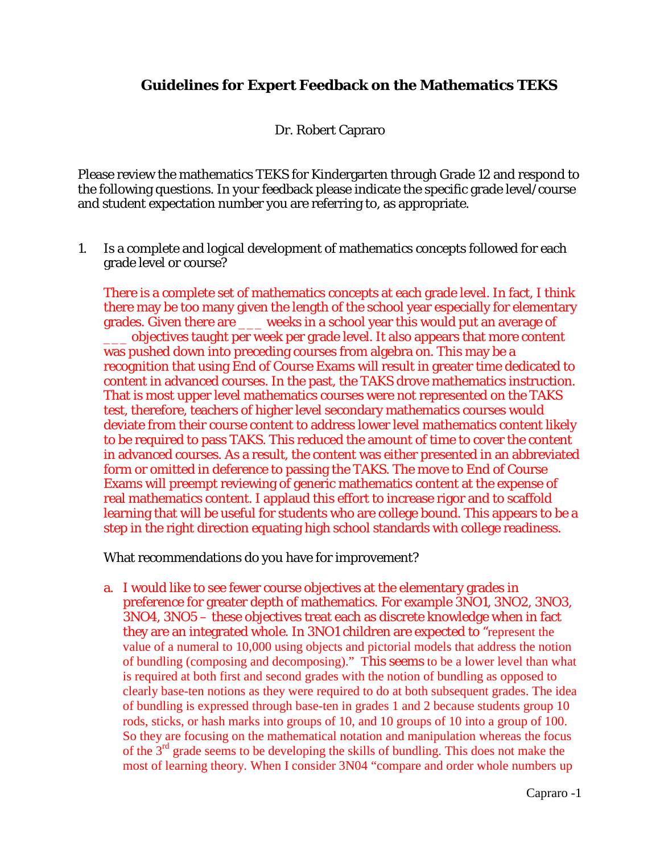# **Guidelines for Expert Feedback on the Mathematics TEKS**

## Dr. Robert Capraro

Please review the mathematics TEKS for Kindergarten through Grade 12 and respond to the following questions. In your feedback please indicate the specific grade level/course and student expectation number you are referring to, as appropriate.

1. Is a complete and logical development of mathematics concepts followed for each grade level or course?

There is a complete set of mathematics concepts at each grade level. In fact, I think there may be too many given the length of the school year especially for elementary grades. Given there are \_\_\_ weeks in a school year this would put an average of \_\_\_ objectives taught per week per grade level. It also appears that more content was pushed down into preceding courses from algebra on. This may be a recognition that using End of Course Exams will result in greater time dedicated to content in advanced courses. In the past, the TAKS drove mathematics instruction. That is most upper level mathematics courses were not represented on the TAKS test, therefore, teachers of higher level secondary mathematics courses would deviate from their course content to address lower level mathematics content likely to be required to pass TAKS. This reduced the amount of time to cover the content in advanced courses. As a result, the content was either presented in an abbreviated form or omitted in deference to passing the TAKS. The move to End of Course Exams will preempt reviewing of generic mathematics content at the expense of real mathematics content. I applaud this effort to increase rigor and to scaffold learning that will be useful for students who are college bound. This appears to be a step in the right direction equating high school standards with college readiness.

What recommendations do you have for improvement?

a. I would like to see fewer course objectives at the elementary grades in preference for greater depth of mathematics. For example 3NO1, 3NO2, 3NO3, 3NO4, 3NO5 – these objectives treat each as discrete knowledge when in fact they are an integrated whole. In 3NO1 children are expected to "represent the value of a numeral to 10,000 using objects and pictorial models that address the notion of bundling (composing and decomposing)." This seems to be a lower level than what is required at both first and second grades with the notion of bundling as opposed to clearly base-ten notions as they were required to do at both subsequent grades. The idea of bundling is expressed through base-ten in grades 1 and 2 because students group 10 rods, sticks, or hash marks into groups of 10, and 10 groups of 10 into a group of 100. So they are focusing on the mathematical notation and manipulation whereas the focus of the  $3<sup>rd</sup>$  grade seems to be developing the skills of bundling. This does not make the most of learning theory. When I consider 3N04 "compare and order whole numbers up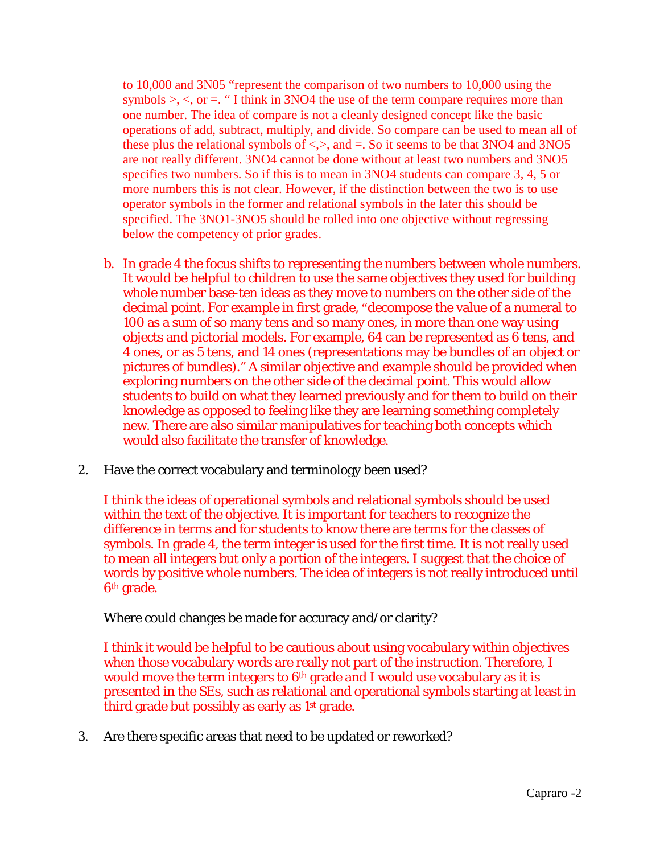to 10,000 and 3N05 "represent the comparison of two numbers to 10,000 using the symbols  $\geq, \leq,$  or  $=$ . "I think in 3NO4 the use of the term compare requires more than one number. The idea of compare is not a cleanly designed concept like the basic operations of add, subtract, multiply, and divide. So compare can be used to mean all of these plus the relational symbols of  $\langle \rangle$ , and  $=$ . So it seems to be that 3NO4 and 3NO5 are not really different. 3NO4 cannot be done without at least two numbers and 3NO5 specifies two numbers. So if this is to mean in 3NO4 students can compare 3, 4, 5 or more numbers this is not clear. However, if the distinction between the two is to use operator symbols in the former and relational symbols in the later this should be specified. The 3NO1-3NO5 should be rolled into one objective without regressing below the competency of prior grades.

- b. In grade 4 the focus shifts to representing the numbers between whole numbers. It would be helpful to children to use the same objectives they used for building whole number base-ten ideas as they move to numbers on the other side of the decimal point. For example in first grade, "decompose the value of a numeral to 100 as a sum of so many tens and so many ones, in more than one way using objects and pictorial models. For example, 64 can be represented as 6 tens, and 4 ones, or as 5 tens, and 14 ones (representations may be bundles of an object or pictures of bundles)." A similar objective and example should be provided when exploring numbers on the other side of the decimal point. This would allow students to build on what they learned previously and for them to build on their knowledge as opposed to feeling like they are learning something completely new. There are also similar manipulatives for teaching both concepts which would also facilitate the transfer of knowledge.
- 2. Have the correct vocabulary and terminology been used?

I think the ideas of operational symbols and relational symbols should be used within the text of the objective. It is important for teachers to recognize the difference in terms and for students to know there are terms for the classes of symbols. In grade 4, the term integer is used for the first time. It is not really used to mean all integers but only a portion of the integers. I suggest that the choice of words by positive whole numbers. The idea of integers is not really introduced until 6th grade.

Where could changes be made for accuracy and/or clarity?

I think it would be helpful to be cautious about using vocabulary within objectives when those vocabulary words are really not part of the instruction. Therefore, I would move the term integers to  $6<sup>th</sup>$  grade and I would use vocabulary as it is presented in the SEs, such as relational and operational symbols starting at least in third grade but possibly as early as 1st grade.

3. Are there specific areas that need to be updated or reworked?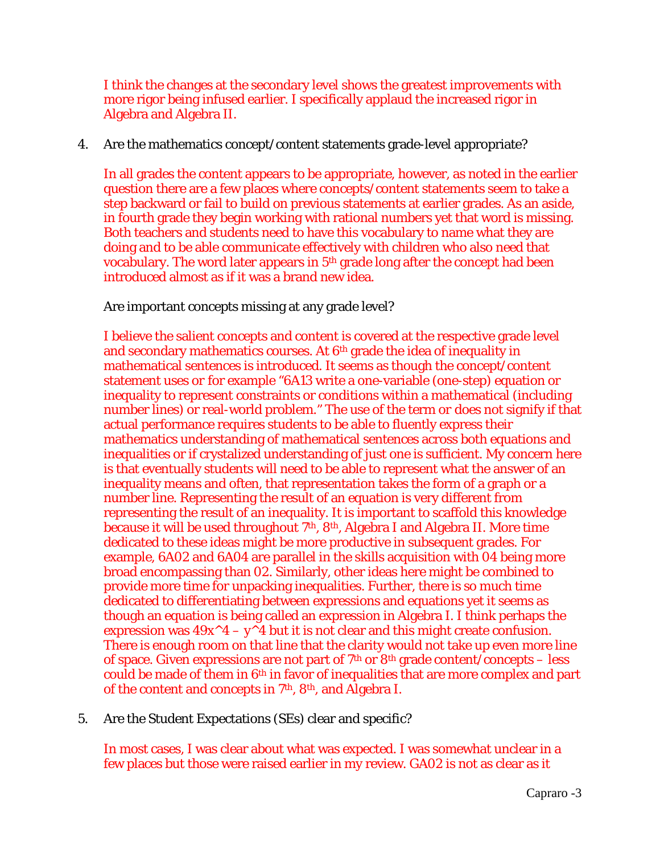I think the changes at the secondary level shows the greatest improvements with more rigor being infused earlier. I specifically applaud the increased rigor in Algebra and Algebra II.

#### 4. Are the mathematics concept/content statements grade-level appropriate?

In all grades the content appears to be appropriate, however, as noted in the earlier question there are a few places where concepts/content statements seem to take a step backward or fail to build on previous statements at earlier grades. As an aside, in fourth grade they begin working with rational numbers yet that word is missing. Both teachers and students need to have this vocabulary to name what they are doing and to be able communicate effectively with children who also need that vocabulary. The word later appears in 5<sup>th</sup> grade long after the concept had been introduced almost as if it was a brand new idea.

### Are important concepts missing at any grade level?

I believe the salient concepts and content is covered at the respective grade level and secondary mathematics courses. At 6th grade the idea of inequality in mathematical sentences is introduced. It seems as though the concept/content statement uses *or* for example "6A13 write a one-variable (one-step) equation or inequality to represent constraints or conditions within a mathematical (including number lines) or real-world problem." The use of the term *or* does not signify if that actual performance requires students to be able to fluently express their mathematics understanding of mathematical sentences across both equations and inequalities or if crystalized understanding of just one is sufficient. My concern here is that eventually students will need to be able to represent what the answer of an inequality means and often, that representation takes the form of a graph or a number line. Representing the result of an equation is very different from representing the result of an inequality. It is important to scaffold this knowledge because it will be used throughout  $7<sup>th</sup>$ ,  $8<sup>th</sup>$ , Algebra I and Algebra II. More time dedicated to these ideas might be more productive in subsequent grades. For example, 6A02 and 6A04 are parallel in the skills acquisition with 04 being more broad encompassing than 02. Similarly, other ideas here might be combined to provide more time for unpacking inequalities. Further, there is so much time dedicated to differentiating between expressions and equations yet it seems as though an equation is being called an expression in Algebra I. I think perhaps the expression was  $49x^4 - y^4$  but it is not clear and this might create confusion. There is enough room on that line that the clarity would not take up even more line of space. Given expressions are not part of  $7<sup>th</sup>$  or  $8<sup>th</sup>$  grade content/concepts – less could be made of them in 6<sup>th</sup> in favor of inequalities that are more complex and part of the content and concepts in 7th, 8th, and Algebra I.

# 5. Are the Student Expectations (SEs) clear and specific?

In most cases, I was clear about what was expected. I was somewhat unclear in a few places but those were raised earlier in my review. GA02 is not as clear as it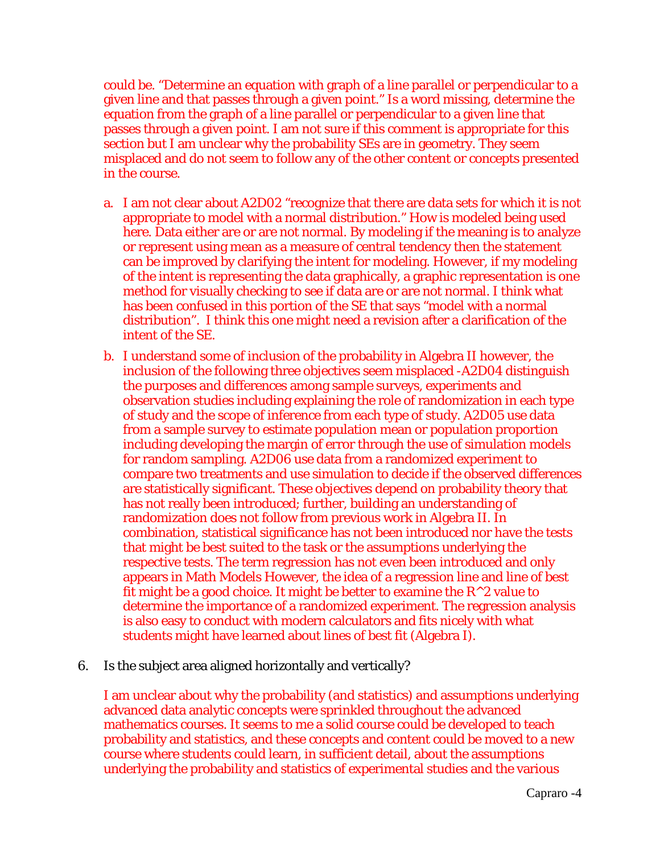could be. "Determine an equation with graph of a line parallel or perpendicular to a given line and that passes through a given point." Is a word missing, determine the equation from the graph of a line parallel or perpendicular to a given line that passes through a given point. I am not sure if this comment is appropriate for this section but I am unclear why the probability SEs are in geometry. They seem misplaced and do not seem to follow any of the other content or concepts presented in the course.

- a. I am not clear about A2D02 "recognize that there are data sets for which it is not appropriate to model with a normal distribution." How is modeled being used here. Data either are or are not normal. By modeling if the meaning is to analyze or represent using mean as a measure of central tendency then the statement can be improved by clarifying the intent for modeling. However, if my modeling of the intent is representing the data graphically, a graphic representation is one method for visually checking to see if data are or are not normal. I think what has been confused in this portion of the SE that says "model with a normal distribution". I think this one might need a revision after a clarification of the intent of the SE.
- b. I understand some of inclusion of the probability in Algebra II however, the inclusion of the following three objectives seem misplaced -A2D04 distinguish the purposes and differences among sample surveys, experiments and observation studies including explaining the role of randomization in each type of study and the scope of inference from each type of study. A2D05 use data from a sample survey to estimate population mean or population proportion including developing the margin of error through the use of simulation models for random sampling. A2D06 use data from a randomized experiment to compare two treatments and use simulation to decide if the observed differences are statistically significant. These objectives depend on probability theory that has not really been introduced; further, building an understanding of randomization does not follow from previous work in Algebra II. In combination, statistical significance has not been introduced nor have the tests that might be best suited to the task or the assumptions underlying the respective tests. The term regression has not even been introduced and only appears in Math Models However, the idea of a regression line and line of best fit might be a good choice. It might be better to examine the  $R^2$  value to determine the importance of a randomized experiment. The regression analysis is also easy to conduct with modern calculators and fits nicely with what students might have learned about lines of best fit (Algebra I).
- 6. Is the subject area aligned horizontally and vertically?

I am unclear about why the probability (and statistics) and assumptions underlying advanced data analytic concepts were sprinkled throughout the advanced mathematics courses. It seems to me a solid course could be developed to teach probability and statistics, and these concepts and content could be moved to a new course where students could learn, in sufficient detail, about the assumptions underlying the probability and statistics of experimental studies and the various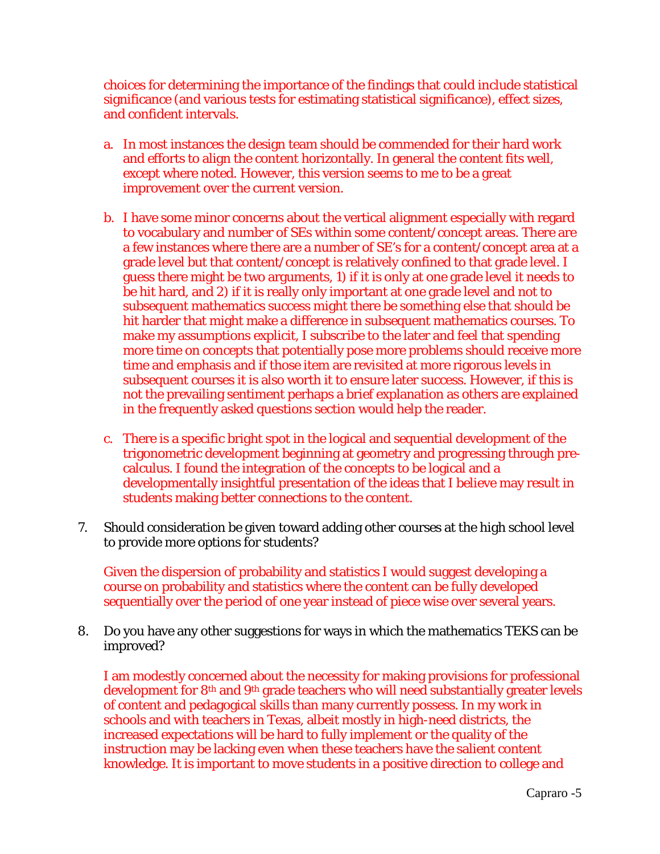choices for determining the importance of the findings that could include statistical significance (and various tests for estimating statistical significance), effect sizes, and confident intervals.

- a. In most instances the design team should be commended for their hard work and efforts to align the content horizontally. In general the content fits well, except where noted. However, this version seems to me to be a great improvement over the current version.
- b. I have some minor concerns about the vertical alignment especially with regard to vocabulary and number of SEs within some content/concept areas. There are a few instances where there are a number of SE's for a content/concept area at a grade level but that content/concept is relatively confined to that grade level. I guess there might be two arguments, 1) if it is only at one grade level it needs to be hit hard, and 2) if it is really only important at one grade level and not to subsequent mathematics success might there be something else that should be hit harder that might make a difference in subsequent mathematics courses. To make my assumptions explicit, I subscribe to the later and feel that spending more time on concepts that potentially pose more problems should receive more time and emphasis and if those item are revisited at more rigorous levels in subsequent courses it is also worth it to ensure later success. However, if this is not the prevailing sentiment perhaps a brief explanation as others are explained in the frequently asked questions section would help the reader.
- c. There is a specific bright spot in the logical and sequential development of the trigonometric development beginning at geometry and progressing through precalculus. I found the integration of the concepts to be logical and a developmentally insightful presentation of the ideas that I believe may result in students making better connections to the content.
- 7. Should consideration be given toward adding other courses at the high school level to provide more options for students?

Given the dispersion of probability and statistics I would suggest developing a course on probability and statistics where the content can be fully developed sequentially over the period of one year instead of piece wise over several years.

8. Do you have any other suggestions for ways in which the mathematics TEKS can be improved?

I am modestly concerned about the necessity for making provisions for professional development for 8<sup>th</sup> and 9<sup>th</sup> grade teachers who will need substantially greater levels of content and pedagogical skills than many currently possess. In my work in schools and with teachers in Texas, albeit mostly in high-need districts, the increased expectations will be hard to fully implement or the quality of the instruction may be lacking even when these teachers have the salient content knowledge. It is important to move students in a positive direction to college and